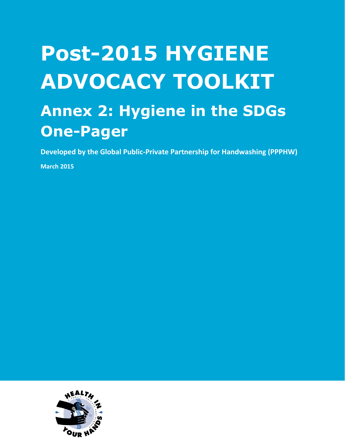## **Post-2015 HYGIENE ADVOCACY TOOLKIT Annex 2: Hygiene in the SDGs One-Pager**

**Developed by the Global Public-Private Partnership for Handwashing (PPPHW)**

**March 2015**